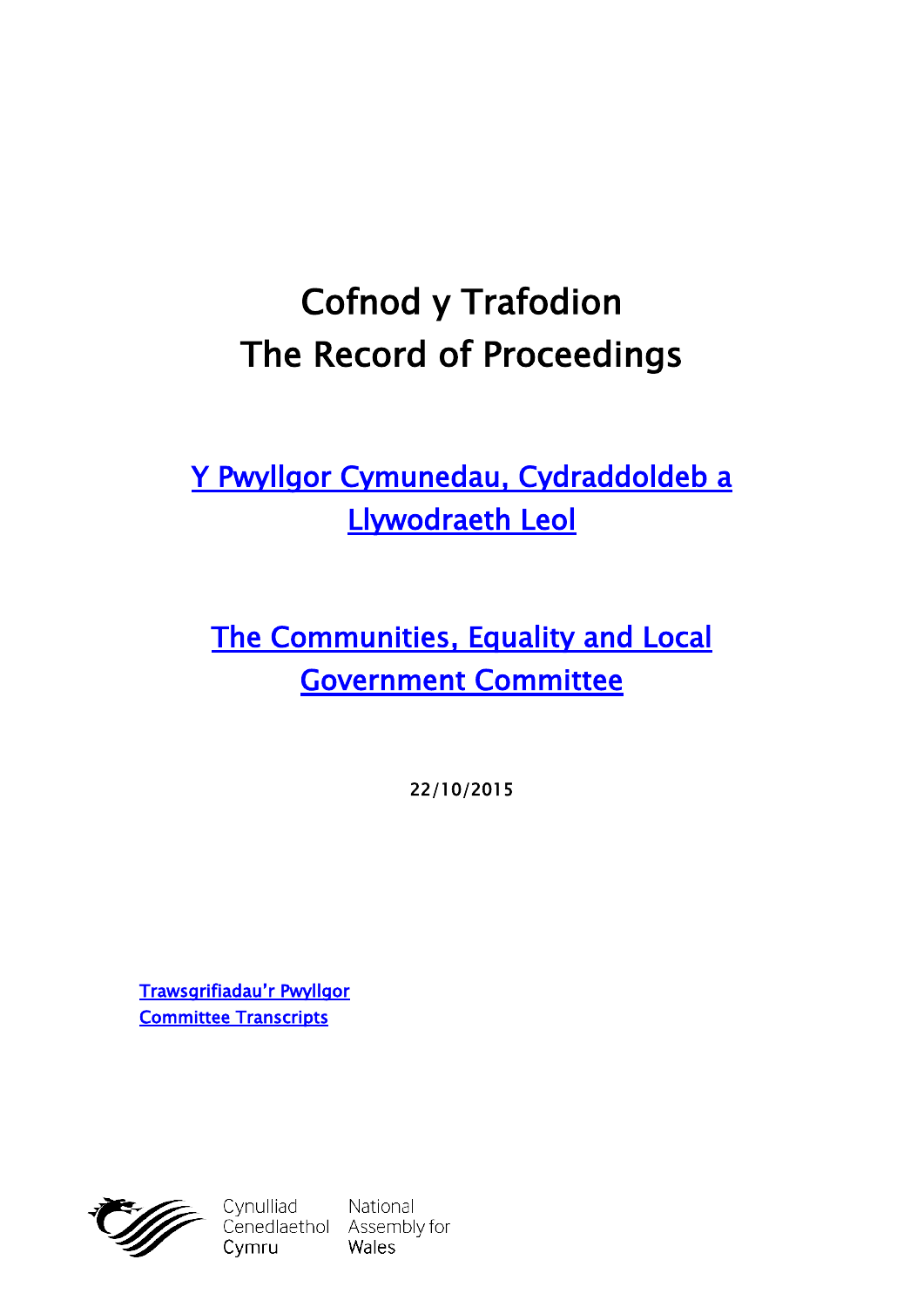# **Cofnod y Trafodion The Record of Proceedings**

**[Y Pwyllgor Cymunedau, Cydraddoldeb a](http://cynulliad.cymru/SeneddCCLLL)  [Llywodraeth Leol](http://cynulliad.cymru/SeneddCCLLL)**

**[The Communities, Equality and Local](http://assembly.wales/SeneddCELG)  [Government Committee](http://assembly.wales/SeneddCELG)**

**22/10/2015**

**[Trawsgrifiadau'r Pwyllgor](http://www.senedd.cynulliad.cymru/mgIssueHistoryHome.aspx?IId=1306) [Committee Transcripts](http://www.senedd.assembly.wales/mgIssueHistoryHome.aspx?IId=1306)**



Cymru

Cynulliad National<br>Cenedlaethol Assembly for Wales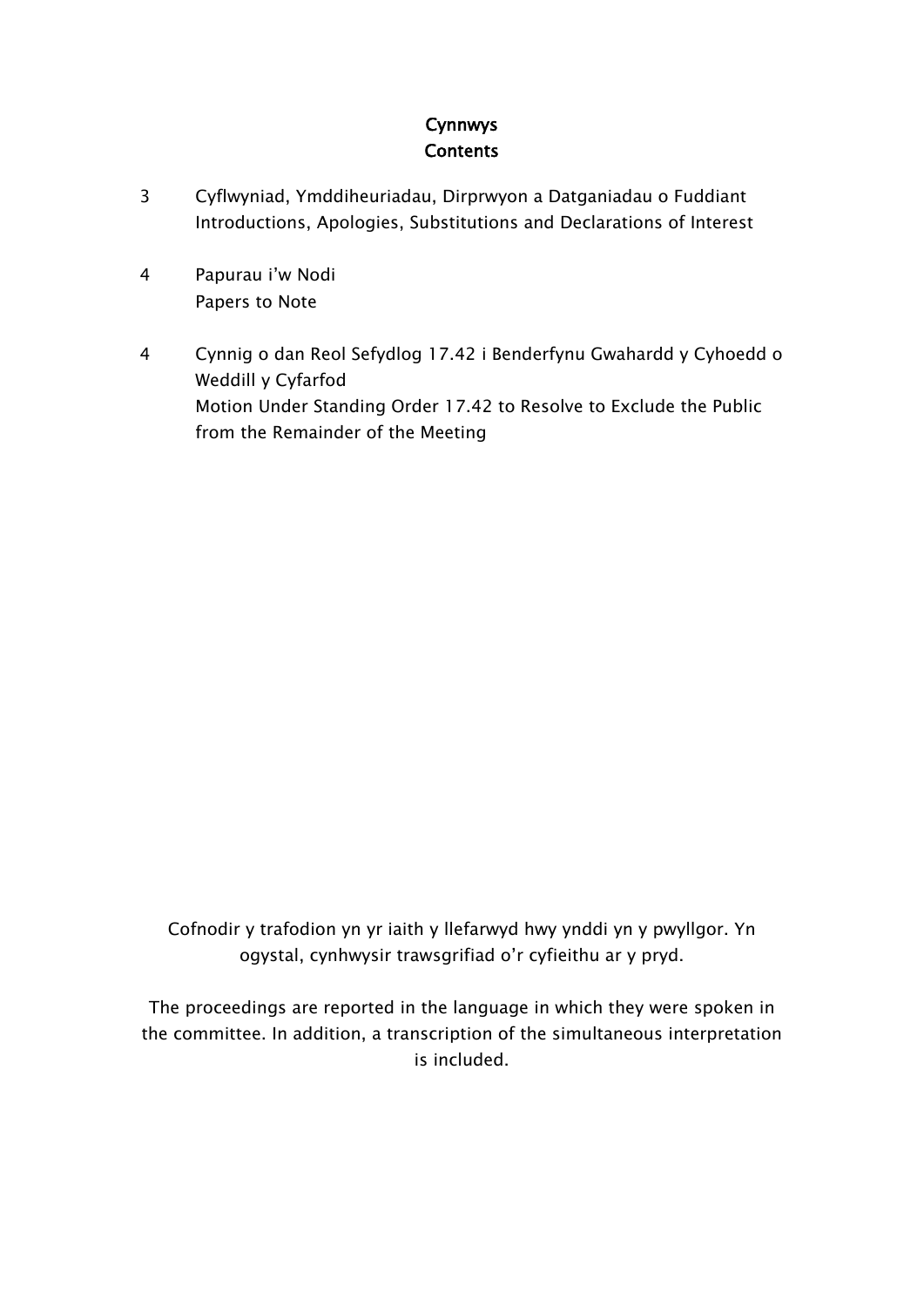#### **Cynnwys Contents**

- [3](#page-2-0) Cyflwyniad, [Ymddiheuriadau,](#page-2-0) Dirprwyon a Datganiadau o Fuddiant [Introductions,](#page-2-0) Apologies, Substitutions and Declarations of Interest
- [4](#page-3-0) [Papurau](#page-3-0) i'w Nodi [Papers](#page-3-0) to Note
- [4](#page-3-1) Cynnig o dan Reol Sefydlog 17.42 i [Benderfynu](#page-3-1) Gwahardd y Cyhoedd o Weddill y [Cyfarfod](#page-3-1) Motion Under [Standing](#page-3-1) Order 17.42 to Resolve to Exclude the Public from the [Remainder](#page-3-1) of the Meeting

Cofnodir y trafodion yn yr iaith y llefarwyd hwy ynddi yn y pwyllgor. Yn ogystal, cynhwysir trawsgrifiad o'r cyfieithu ar y pryd.

The proceedings are reported in the language in which they were spoken in the committee. In addition, a transcription of the simultaneous interpretation is included.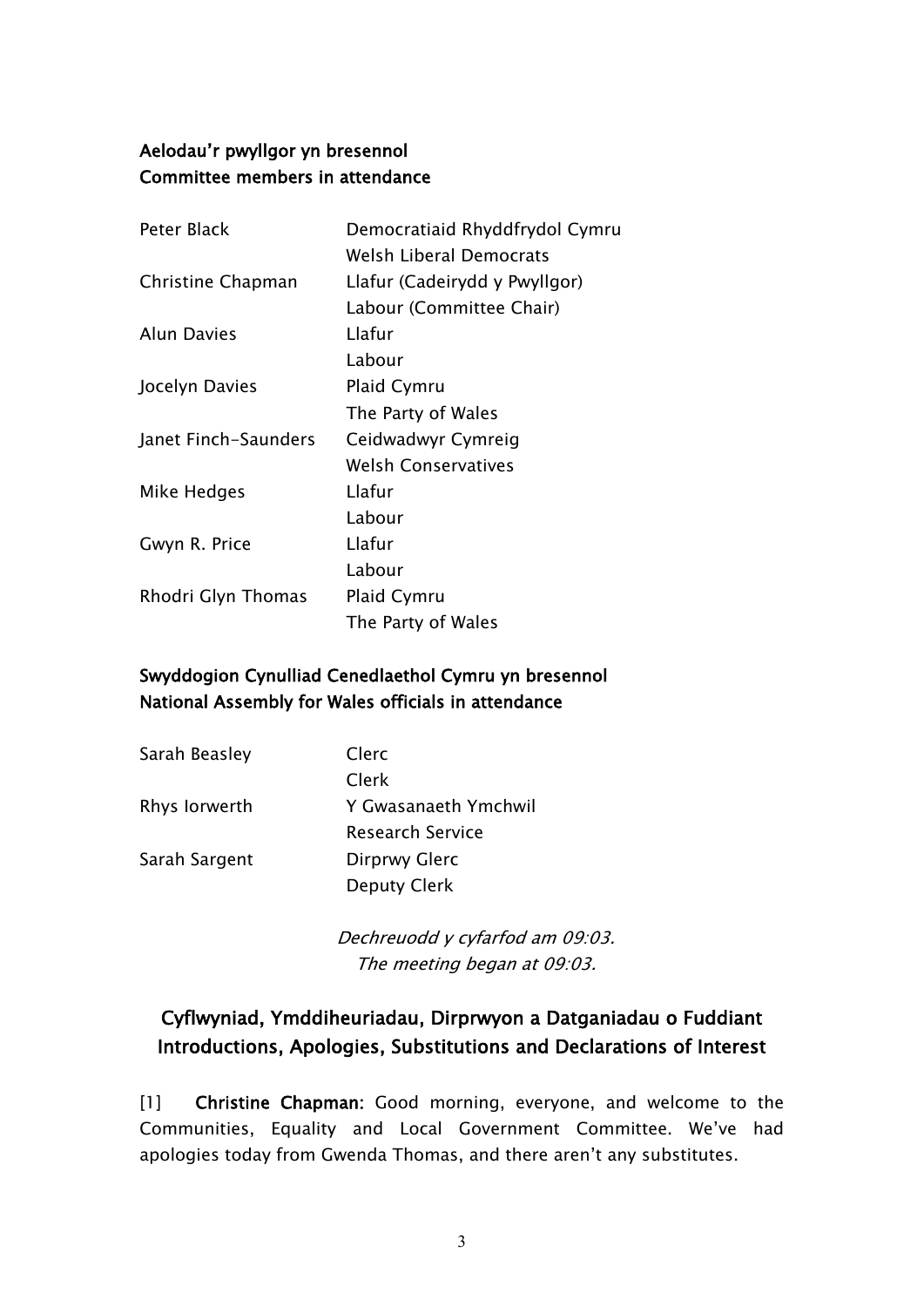#### **Aelodau'r pwyllgor yn bresennol Committee members in attendance**

| Democratiaid Rhyddfrydol Cymru |
|--------------------------------|
| Welsh Liberal Democrats        |
| Llafur (Cadeirydd y Pwyllgor)  |
| Labour (Committee Chair)       |
| Llafur                         |
| Labour                         |
| <b>Plaid Cymru</b>             |
| The Party of Wales             |
| Ceidwadwyr Cymreig             |
| <b>Welsh Conservatives</b>     |
| Llafur                         |
| Labour                         |
| Llafur                         |
| Labour                         |
| Plaid Cymru                    |
| The Party of Wales             |
|                                |

#### **Swyddogion Cynulliad Cenedlaethol Cymru yn bresennol National Assembly for Wales officials in attendance**

| Sarah Beasley | Clerc                   |
|---------------|-------------------------|
|               | Clerk.                  |
| Rhys lorwerth | Y Gwasanaeth Ymchwil    |
|               | <b>Research Service</b> |
| Sarah Sargent | Dirprwy Glerc           |
|               | Deputy Clerk            |

*Dechreuodd y cyfarfod am 09:03. The meeting began at 09:03.*

## <span id="page-2-0"></span>**Cyflwyniad, Ymddiheuriadau, Dirprwyon a Datganiadau o Fuddiant Introductions, Apologies, Substitutions and Declarations of Interest**

[1] **Christine Chapman:** Good morning, everyone, and welcome to the Communities, Equality and Local Government Committee. We've had apologies today from Gwenda Thomas, and there aren't any substitutes.